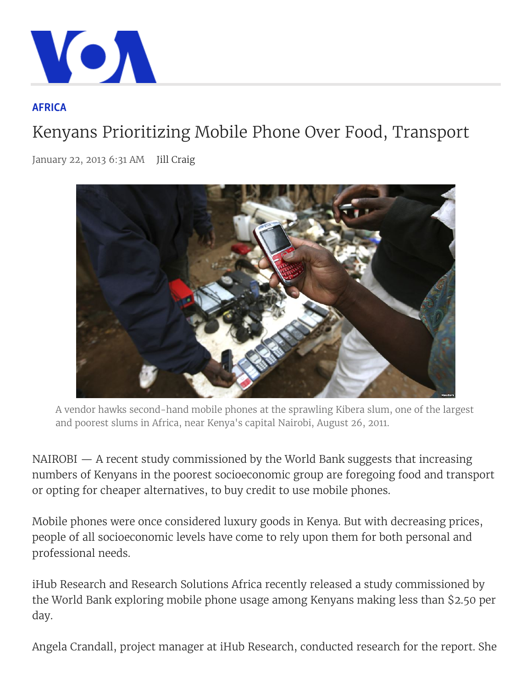

## AFRICA

## Kenyans Prioritizing Mobile Phone Over Food, Transport

January 22, 2013 6:31 AM Jill Craig



A vendor hawks second-hand mobile phones at the sprawling Kibera slum, one of the largest and poorest slums in Africa, near Kenya's capital Nairobi, August 26, 2011.

NAIROBI — A recent study commissioned by the World Bank suggests that increasing numbers of Kenyans in the poorest socioeconomic group are foregoing food and transport or opting for cheaper alternatives, to buy credit to use mobile phones.

Mobile phones were once considered luxury goods in Kenya. But with decreasing prices, people of all socioeconomic levels have come to rely upon them for both personal and professional needs.

iHub Research and Research Solutions Africa recently released a study commissioned by the World Bank exploring mobile phone usage among Kenyans making less than \$2.50 per day.

Angela Crandall, project manager at iHub Research, conducted research for the report. She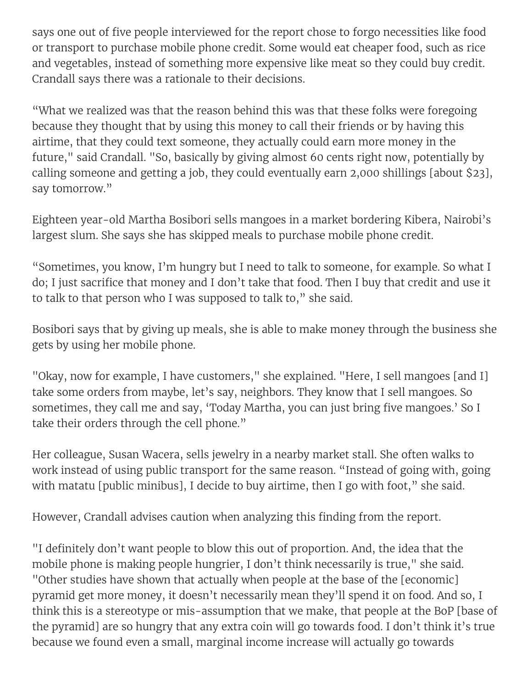says one out of five people interviewed for the report chose to forgo necessities like food or transport to purchase mobile phone credit. Some would eat cheaper food, such as rice and vegetables, instead of something more expensive like meat so they could buy credit. Crandall says there was a rationale to their decisions.

"What we realized was that the reason behind this was that these folks were foregoing because they thought that by using this money to call their friends or by having this airtime, that they could text someone, they actually could earn more money in the future," said Crandall. "So, basically by giving almost 60 cents right now, potentially by calling someone and getting a job, they could eventually earn 2,000 shillings [about \$23], say tomorrow."

Eighteen year-old Martha Bosibori sells mangoes in a market bordering Kibera, Nairobi's largest slum. She says she has skipped meals to purchase mobile phone credit.

"Sometimes, you know, I'm hungry but I need to talk to someone, for example. So what I do; I just sacrifice that money and I don't take that food. Then I buy that credit and use it to talk to that person who I was supposed to talk to," she said.

Bosibori says that by giving up meals, she is able to make money through the business she gets by using her mobile phone.

"Okay, now for example, I have customers," she explained. "Here, I sell mangoes [and I] take some orders from maybe, let's say, neighbors. They know that I sell mangoes. So sometimes, they call me and say, 'Today Martha, you can just bring five mangoes.' So I take their orders through the cell phone."

Her colleague, Susan Wacera, sells jewelry in a nearby market stall. She often walks to work instead of using public transport for the same reason. "Instead of going with, going with matatu [public minibus], I decide to buy airtime, then I go with foot," she said.

However, Crandall advises caution when analyzing this finding from the report.

"I definitely don't want people to blow this out of proportion. And, the idea that the mobile phone is making people hungrier, I don't think necessarily is true," she said. "Other studies have shown that actually when people at the base of the [economic] pyramid get more money, it doesn't necessarily mean they'll spend it on food. And so, I think this is a stereotype or mis-assumption that we make, that people at the BoP [base of the pyramid] are so hungry that any extra coin will go towards food. I don't think it's true because we found even a small, marginal income increase will actually go towards